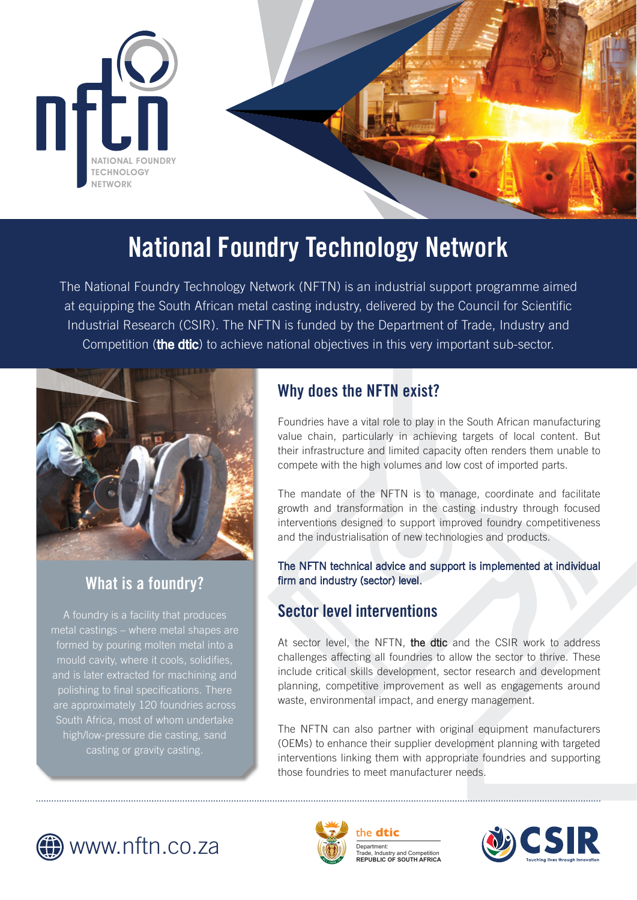

# **National Foundry Technology Network**

The National Foundry Technology Network (NFTN) is an industrial support programme aimed at equipping the South African metal casting industry, delivered by the Council for Scientific Industrial Research (CSIR). The NFTN is funded by the Department of Trade, Industry and Competition (the dtic) to achieve national objectives in this very important sub-sector.



# **What is a foundry?**

A foundry is a facility that produces metal castings – where metal shapes are formed by pouring molten metal into a mould cavity, where it cools, solidifies, and is later extracted for machining and polishing to final specifications. There are approximately 120 foundries across South Africa, most of whom undertake high/low-pressure die casting, sand casting or gravity casting.

# **Why does the NFTN exist?**

Foundries have a vital role to play in the South African manufacturing value chain, particularly in achieving targets of local content. But their infrastructure and limited capacity often renders them unable to compete with the high volumes and low cost of imported parts.

The mandate of the NFTN is to manage, coordinate and facilitate growth and transformation in the casting industry through focused interventions designed to support improved foundry competitiveness and the industrialisation of new technologies and products.

The NFTN technical advice and support is implemented at individual firm and industry (sector) level.

# **Sector level interventions**

At sector level, the NFTN, the dtic and the CSIR work to address challenges affecting all foundries to allow the sector to thrive. These include critical skills development, sector research and development planning, competitive improvement as well as engagements around waste, environmental impact, and energy management.

The NFTN can also partner with original equipment manufacturers (OEMs) to enhance their supplier development planning with targeted interventions linking them with appropriate foundries and supporting those foundries to meet manufacturer needs.





Department: Trade, Industry and Competition **REPUBLIC OF SOUTH AFRICA** the **dtic**